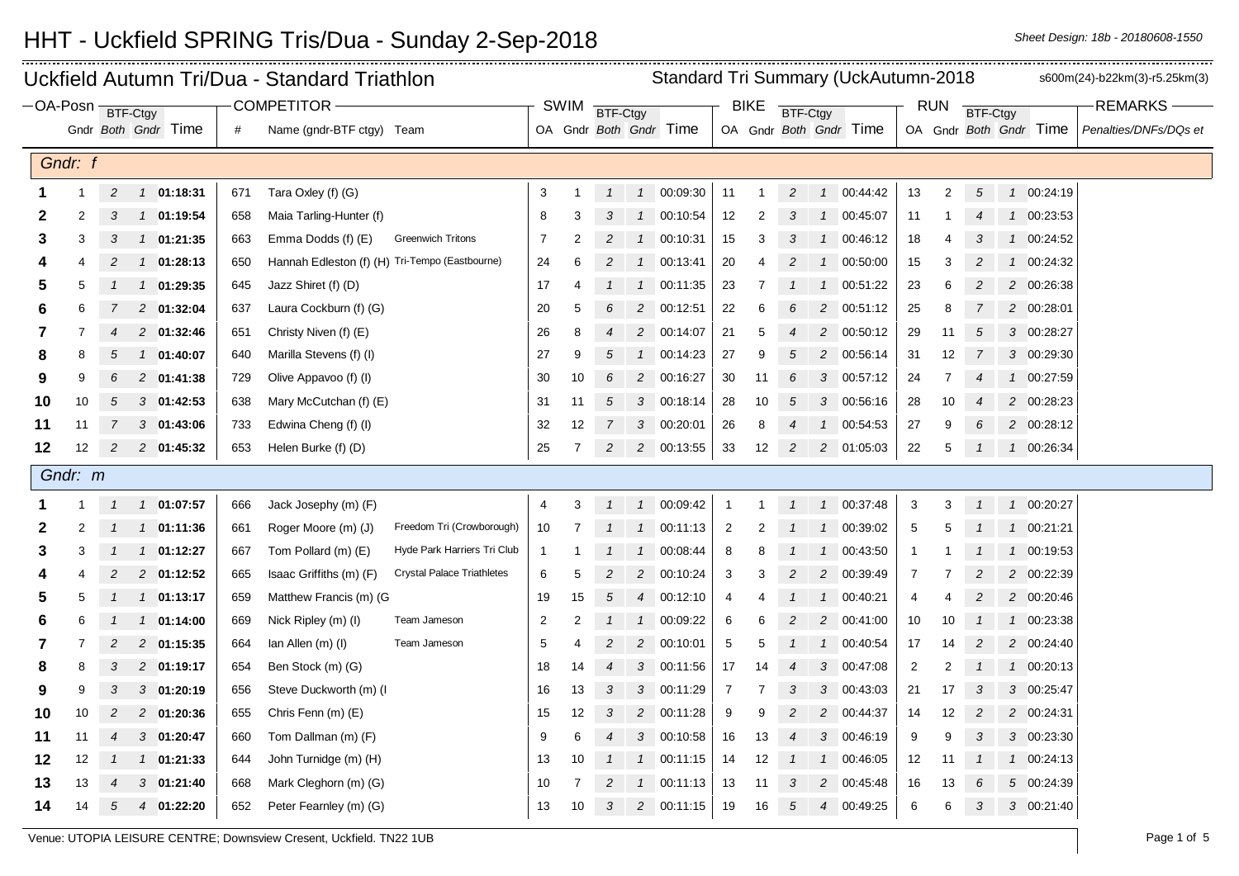|              |                                     |                |                            |     | Uckfield Autumn Tri/Dua - Standard Triathlon                 | Standard Tri Summary (UckAutumn-2018<br>s600m(24)-b22km(3)-r5.25km(3) |                |                |                |                        |                 |    |                |                |                        |                 |                |                |                        |                       |
|--------------|-------------------------------------|----------------|----------------------------|-----|--------------------------------------------------------------|-----------------------------------------------------------------------|----------------|----------------|----------------|------------------------|-----------------|----|----------------|----------------|------------------------|-----------------|----------------|----------------|------------------------|-----------------------|
|              | COMPETITOR -<br>$-OA-Posn$ BTF-Ctgy |                |                            |     | SWIM                                                         | BTF-Ctgy                                                              |                |                |                | <b>BIKE</b>            | <b>BTF-Ctgy</b> |    |                |                | <b>RUN</b>             | <b>BTF-Ctgy</b> |                | <b>REMARKS</b> |                        |                       |
|              |                                     |                | Gndr Both Gndr Time        | #   | Name (gndr-BTF ctgy) Team                                    |                                                                       |                |                |                | OA Gndr Both Gndr Time |                 |    |                |                | OA Gndr Both Gndr Time |                 |                |                | OA Gndr Both Gndr Time | Penalties/DNFs/DQs et |
|              | Gndr: f                             |                |                            |     |                                                              |                                                                       |                |                |                |                        |                 |    |                |                |                        |                 |                |                |                        |                       |
|              |                                     |                |                            |     |                                                              |                                                                       |                |                |                |                        |                 |    |                |                |                        |                 |                |                |                        |                       |
|              |                                     | $\overline{c}$ | 1 01:18:31                 | 671 | Tara Oxley (f) (G)                                           | 3                                                                     |                | $\mathbf{1}$   |                | 1 00:09:30             | 11              | -1 | $\overline{c}$ | $\mathcal{I}$  | 00:44:42               | 13              | $\overline{2}$ | 5              | 1 00:24:19             |                       |
| 2            | 2                                   | 3              | 1 01:19:54                 | 658 | Maia Tarling-Hunter (f)                                      | 8                                                                     | 3              | 3              |                | 1 00:10:54             | 12              | 2  | 3              | $\mathcal{I}$  | 00:45:07               | 11              |                |                | 1 00:23:53             |                       |
| 3            | 3                                   | 3              | $1$ 01:21:35               | 663 | Emma Dodds (f) (E)<br><b>Greenwich Tritons</b>               | $\overline{7}$                                                        | $\overline{2}$ | $\overline{2}$ |                | 1 00:10:31             | 15              | 3  | 3              |                | 00:46:12               | 18              | $\overline{4}$ | 3              | 1 00:24:52             |                       |
|              |                                     | 2              | 01:28:13<br>$\overline{1}$ | 650 | Hannah Edleston (f) (H) Tri-Tempo (Eastbourne)               | 24                                                                    | 6              | $\overline{2}$ |                | 1 00:13:41             | 20              | 4  | 2              | $\overline{1}$ | 00:50:00               | 15              | 3              | 2              | 1 00:24:32             |                       |
| 5            | 5                                   |                | 1 01:29:35                 | 645 | Jazz Shiret (f) (D)                                          | 17                                                                    | 4              | $\mathcal{I}$  | $\mathcal{I}$  | 00:11:35               | 23              | 7  |                | $\mathcal{I}$  | 00:51:22               | 23              | 6              | $\overline{c}$ | 2 00:26:38             |                       |
| 6            | 6                                   |                | 2 01:32:04                 | 637 | Laura Cockburn (f) (G)                                       | 20                                                                    | 5              | 6              | $\overline{2}$ | 00:12:51               | 22              | 6  |                | $\overline{c}$ | 00:51:12               | 25              | 8              |                | 2 00:28:01             |                       |
| 7            |                                     | 4              | 2 01:32:46                 | 651 | Christy Niven (f) (E)                                        | 26                                                                    | 8              | $\overline{4}$ |                | 2 00:14:07             | 21              | 5  | $\overline{4}$ | 2              | 00:50:12               | 29              | 11             | 5              | 3 00:28:27             |                       |
| 8            | 8                                   | 5              | 1 01:40:07                 | 640 | Marilla Stevens (f) (I)                                      | 27                                                                    | 9              | 5              | $\mathcal{I}$  | 00:14:23               | 27              | 9  | 5              | 2              | 00:56:14               | 31              | 12             |                | 3 00:29:30             |                       |
| 9            | 9                                   |                | 2 01:41:38                 | 729 | Olive Appavoo (f) (I)                                        | 30                                                                    | 10             | 6              | $2^{\circ}$    | 00:16:27               | 30              | 11 | 6              | 3              | 00:57:12               | 24              | 7              |                | 1 00:27:59             |                       |
| 10           | 10                                  | 5              | $3$ 01:42:53               | 638 | Mary McCutchan (f) (E)                                       | 31                                                                    | 11             | 5              |                | 3 00:18:14             | 28              | 10 | 5              | 3              | 00:56:16               | 28              | 10             |                | 2 00:28:23             |                       |
| 11           | 11                                  | 7              | $3$ 01:43:06               | 733 | Edwina Cheng (f) (I)                                         | 32                                                                    | 12             | $\overline{7}$ |                | 3 00:20:01             | 26              | 8  | $\overline{4}$ |                | 00:54:53               | 27              | 9              | 6              | 2 00:28:12             |                       |
| 12           | 12                                  | $\overline{c}$ | 2 01:45:32                 | 653 | Helen Burke (f) (D)                                          | 25                                                                    | 7              | $\overline{c}$ |                | 2 00:13:55             | 33              | 12 | $\overline{c}$ |                | 2 01:05:03             | 22              | 5              |                | 1 00:26:34             |                       |
|              | Gndr: m                             |                |                            |     |                                                              |                                                                       |                |                |                |                        |                 |    |                |                |                        |                 |                |                |                        |                       |
|              |                                     | $\mathcal I$   | 1 01:07:57                 | 666 | Jack Josephy (m) (F)                                         | 4                                                                     | 3              | $\mathbf{1}$   |                | 1 00:09:42             | $\overline{1}$  |    | $\overline{1}$ |                | 1 00:37:48             | 3               | 3              | $\overline{1}$ | 1 00:20:27             |                       |
| $\mathbf{2}$ | $\overline{2}$                      |                | 1 01:11:36                 | 661 | Freedom Tri (Crowborough)<br>Roger Moore (m) (J)             | 10                                                                    |                |                | $\mathcal{I}$  | 00:11:13               | $\overline{c}$  | 2  |                | $\mathcal{I}$  | 00:39:02               | $\mathbf{5}$    | 5              |                | 1 00:21:21             |                       |
| 3            | 3                                   | $\mathcal{I}$  | $1 \quad 01:12:27$         | 667 | Hyde Park Harriers Tri Club<br>Tom Pollard (m) (E)           | $\overline{1}$                                                        |                |                |                | 1 00:08:44             | 8               | 8  |                | $\mathcal{I}$  | 00:43:50               | $\mathbf{1}$    | -1             |                | 1 00:19:53             |                       |
|              |                                     | 2              | 2 01:12:52                 | 665 | <b>Crystal Palace Triathletes</b><br>Isaac Griffiths (m) (F) | $\,6\,$                                                               | 5              | $\overline{c}$ |                | 2 00:10:24             | 3               | 3  | 2              | $\overline{c}$ | 00:39:49               | $\overline{7}$  | 7              | 2              | 2 00:22:39             |                       |
| 5            | 5                                   |                | 1 01:13:17                 | 659 | Matthew Francis (m) (G                                       | 19                                                                    | 15             | 5              | $\overline{4}$ | 00:12:10               | 4               |    |                | $\mathcal{I}$  | 00:40:21               | 4               | 4              | 2              | 2 00:20:46             |                       |
| 6            |                                     |                | 1 01:14:00                 | 669 | Nick Ripley (m) (I)<br>Team Jameson                          | $\overline{2}$                                                        | $\overline{2}$ |                |                | 1 00:09:22             | 6               | 6  |                | 2              | 00:41:00               | 10              | 10             |                | 1 00:23:38             |                       |
| 7            |                                     | $\overline{c}$ | 2 01:15:35                 | 664 | lan Allen (m) (l)<br>Team Jameson                            | $\sqrt{5}$                                                            | 4              | 2              | $2^{\circ}$    | 00:10:01               | $\sqrt{5}$      | 5  |                | $\mathcal{I}$  | 00:40:54               | 17              | 14             | $\overline{c}$ | 2 00:24:40             |                       |
| 8            | 8                                   | 3              | 2 01:19:17                 | 654 | Ben Stock (m) (G)                                            | 18                                                                    | 14             | $\overline{4}$ |                | 3 00:11:56             | 17              | 14 | $\overline{4}$ | 3              | 00:47:08               | $\overline{2}$  | $\overline{2}$ |                | 1 00:20:13             |                       |
| 9            | 9                                   | З              | 3 01:20:19                 | 656 | Steve Duckworth (m) (I                                       | 16                                                                    | 13             | 3              | 3              | 00:11:29               | 7               |    | 3              | 3              | 00:43:03               | 21              | 17             | 3              | 3 00:25:47             |                       |
| 10           | 10                                  | $\overline{c}$ | 2 01:20:36                 | 655 | Chris Fenn (m) (E)                                           | 15                                                                    | 12             | 3              |                | 2 00:11:28             | 9               | 9  | $\overline{c}$ |                | 2 00:44:37             | 14              | 12             | $\overline{c}$ | 2 00:24:31             |                       |
| 11           | 11                                  | 4              | 3 01:20:47                 | 660 | Tom Dallman (m) (F)                                          | 9                                                                     | 6              | 4              |                | 3 00:10:58             | 16              | 13 | $\overline{4}$ | $\mathbf{3}$   | 00:46:19               | 9               | 9              | 3              | 3 00:23:30             |                       |
| 12           | 12                                  |                | 1 01:21:33                 | 644 | John Turnidge (m) (H)                                        | 13                                                                    | 10             |                | $\mathcal{I}$  | 00:11:15               | 14              | 12 |                | $\mathbf{1}$   | 00:46:05               | 12              | 11             |                | 1 00:24:13             |                       |
| 13           | 13                                  |                | $3$ 01:21:40               | 668 | Mark Cleghorn (m) (G)                                        | 10                                                                    |                | 2              |                | 1 00:11:13             | 13              | 11 | 3              | 2              | 00:45:48               | 16              | 13             | 6              | 5 00:24:39             |                       |
| 14           | 14                                  | 5              | 01:22:20<br>$\overline{4}$ | 652 | Peter Fearnley (m) (G)                                       | 13                                                                    | 10             | 3              |                | 2 00:11:15             | 19              | 16 | 5              | 4              | 00:49:25               | 6               | 6              | 3              | 3 00:21:40             |                       |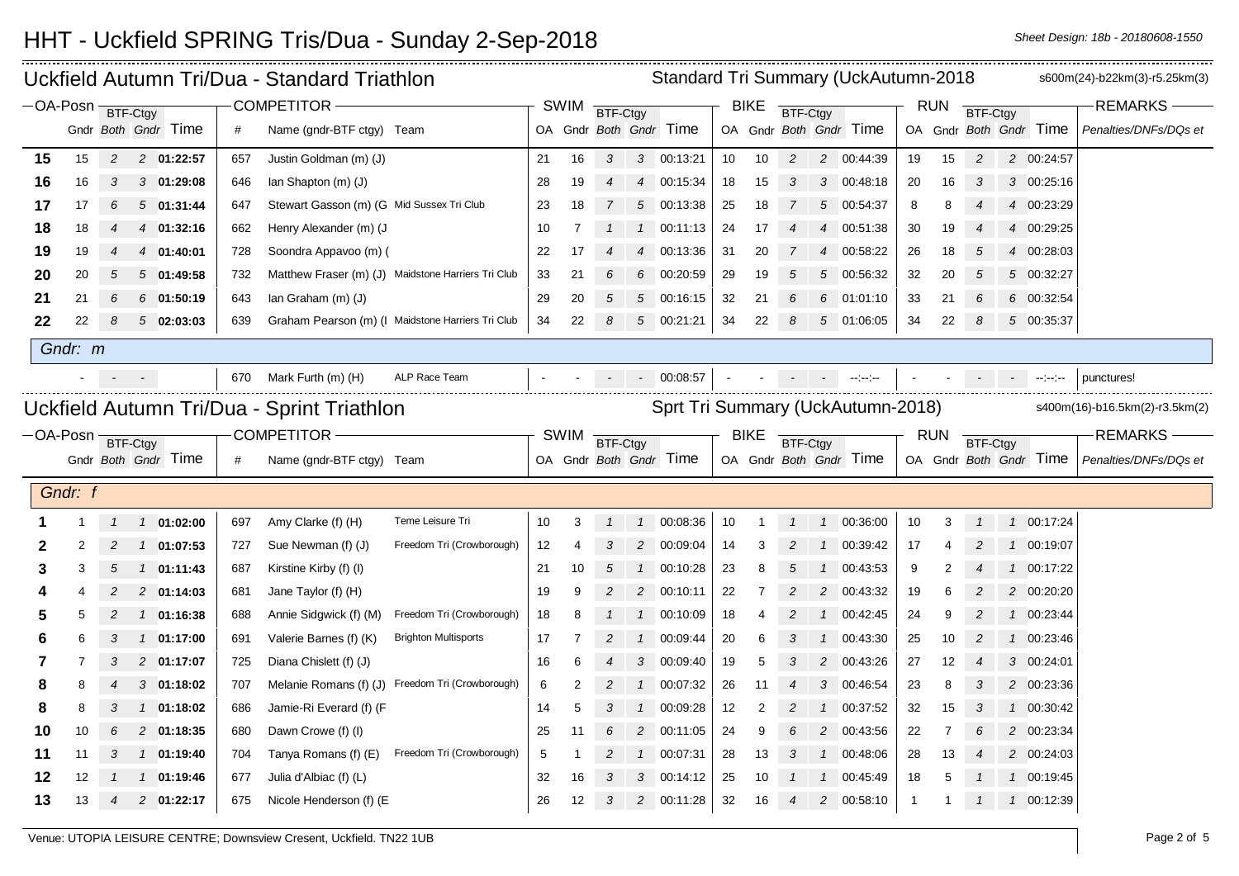| Standard Tri Summary (UckAutumn-2018<br>Uckfield Autumn Tri/Dua - Standard Triathlon |                     |                |                     |     |                                           |                                                    |    |                   |                 |                |                        |    | s600m(24)-b22km(3)-r5.25km(3) |                                |                 |                                |              |                |                 |                                                                                                         |                       |
|--------------------------------------------------------------------------------------|---------------------|----------------|---------------------|-----|-------------------------------------------|----------------------------------------------------|----|-------------------|-----------------|----------------|------------------------|----|-------------------------------|--------------------------------|-----------------|--------------------------------|--------------|----------------|-----------------|---------------------------------------------------------------------------------------------------------|-----------------------|
| $-OA-Posn$ BTF-Ctgy                                                                  |                     |                |                     |     | COMPETITOR-                               |                                                    |    | <b>SWIM</b>       | <b>BTF-Ctgy</b> |                |                        |    | <b>BIKE</b>                   | BTF-Ctgy                       |                 |                                |              | <b>RUN</b>     | BTF-Ctgy        |                                                                                                         | <b>REMARKS</b>        |
|                                                                                      |                     |                | Gndr Both Gndr Time | #   | Name (gndr-BTF ctgy) Team                 |                                                    |    |                   |                 |                | OA Gndr Both Gndr Time |    |                               |                                |                 | OA Gndr Both Gndr Time         |              |                |                 | OA Gndr Both Gndr Time                                                                                  | Penalties/DNFs/DQs et |
| 15                                                                                   | 15                  | $\overline{2}$ | 2 01:22:57          | 657 | Justin Goldman (m) (J)                    |                                                    | 21 | 16                | 3 <sup>7</sup>  |                | 3 00:13:21             | 10 | 10                            | $\overline{2}$                 |                 | 2 00:44:39                     | 19           | 15             | $\overline{c}$  | 2 00:24:57                                                                                              |                       |
| 16                                                                                   | 16                  | 3              | 3 01:29:08          | 646 | lan Shapton (m) (J)                       |                                                    | 28 | 19                | 4               | $\overline{4}$ | 00:15:34               | 18 | 15                            | 3                              | 3               | 00:48:18                       | 20           | 16             | 3               | 3 00:25:16                                                                                              |                       |
| 17                                                                                   | 17                  | 6              | 501:31:44           | 647 | Stewart Gasson (m) (G Mid Sussex Tri Club |                                                    | 23 | 18                | $\overline{7}$  | 5              | 00:13:38               | 25 | 18                            |                                | 5               | 00:54:37                       | 8            | 8              |                 | 4 00:23:29                                                                                              |                       |
| 18                                                                                   | 18                  | 4              | 4 01:32:16          | 662 | Henry Alexander (m) (J                    |                                                    | 10 | 7                 |                 |                | 1 00:11:13             | 24 | 17                            |                                | 4               | 00:51:38                       | 30           | 19             |                 | 4 00:29:25                                                                                              |                       |
| 19                                                                                   | 19                  |                | 01:40:01<br>4       | 728 | Soondra Appavoo (m) (                     |                                                    | 22 | 17                |                 | 4              | 00:13:36               | 31 | 20                            | 7                              | $\overline{4}$  | 00:58:22                       | 26           | 18             | 5               | 4 00:28:03                                                                                              |                       |
| 20                                                                                   | 20                  | .5             | 5 01:49:58          | 732 |                                           | Matthew Fraser (m) (J) Maidstone Harriers Tri Club | 33 | 21                |                 | 6              | 00:20:59               | 29 | 19                            |                                | 5               | 00:56:32                       | 32           | 20             | 5               | 5 00:32:27                                                                                              |                       |
| 21                                                                                   | 21                  |                | $6$ 01:50:19        | 643 | lan Graham (m) (J)                        |                                                    | 29 | 20                | 5               | 5              | 00:16:15               | 32 | 21                            | 6                              | 6               | 01:01:10                       | 33           | 21             | 6               | 6 00:32:54                                                                                              |                       |
| 22                                                                                   | 22                  | 8              | 502:03:03           | 639 |                                           | Graham Pearson (m) (I Maidstone Harriers Tri Club  | 34 | 22                | 8               |                | $5$ 00:21:21           | 34 | 22                            | 8                              | $5\overline{)}$ | 01:06:05                       | 34           | 22             | 8               | 5 00:35:37                                                                                              |                       |
|                                                                                      | Gndr: m             |                |                     |     |                                           |                                                    |    |                   |                 |                |                        |    |                               |                                |                 |                                |              |                |                 |                                                                                                         |                       |
|                                                                                      |                     | $\sim$         | $\sim$ $-$          |     | 670 Mark Furth (m) (H)                    | ALP Race Team                                      |    |                   |                 |                | $- 00.08:57$           |    |                               |                                |                 | and the contract of the second |              |                |                 | $\mathcal{L}^{\mathcal{L}}(\mathbf{z})$ and $\mathcal{L}^{\mathcal{L}}(\mathbf{z})$ are the proposition | punctures!            |
| Sprt Tri Summary (UckAutumn-2018)<br>Uckfield Autumn Tri/Dua - Sprint Triathlon      |                     |                |                     |     |                                           |                                                    |    |                   |                 |                |                        |    |                               | s400m(16)-b16.5km(2)-r3.5km(2) |                 |                                |              |                |                 |                                                                                                         |                       |
|                                                                                      | $-OA-Posn$ BTF-Ctgy |                |                     |     | <b>COMPETITOR -</b>                       |                                                    |    | <b>SWIM</b>       |                 |                |                        |    | <b>BIKE</b>                   |                                |                 |                                |              | <b>RUN</b>     |                 |                                                                                                         | <b>REMARKS</b>        |
|                                                                                      |                     |                | Gndr Both Gndr Time | #   | Name (gndr-BTF ctgy) Team                 |                                                    |    |                   | BTF-Ctgy        |                | OA Gndr Both Gndr Time |    |                               | BTF-Ctgy                       |                 | OA Gndr Both Gndr Time         |              |                | <b>BTF-Ctgy</b> | OA Gndr Both Gndr Time                                                                                  | Penalties/DNFs/DQs et |
|                                                                                      |                     |                |                     |     |                                           |                                                    |    |                   |                 |                |                        |    |                               |                                |                 |                                |              |                |                 |                                                                                                         |                       |
|                                                                                      | Gndr: f             |                |                     |     |                                           |                                                    |    |                   |                 |                |                        |    |                               |                                |                 |                                |              |                |                 |                                                                                                         |                       |
|                                                                                      |                     |                | $1$ 01:02:00        | 697 | Amy Clarke (f) (H)                        | Teme Leisure Tri                                   | 10 | 3                 | $\mathcal{I}$   | $\overline{1}$ | 00:08:36               | 10 |                               |                                |                 | 1 00:36:00                     | 10           | 3              |                 | 1 00:17:24                                                                                              |                       |
| 2                                                                                    | 2                   |                | 1 01:07:53          | 727 | Sue Newman (f) (J)                        | Freedom Tri (Crowborough)                          | 12 |                   | 3               | 2              | 00:09:04               | 14 | 3                             |                                |                 | 00:39:42                       | 17           |                |                 | 1 00:19:07                                                                                              |                       |
| 3                                                                                    | 3                   | 5              | 1 01:11:43          | 687 | Kirstine Kirby (f) (I)                    |                                                    | 21 | 10                | 5               | $\mathbf{1}$   | 00:10:28               | 23 | 8                             | 5                              | $\mathcal{I}$   | 00:43:53                       | 9            | 2              |                 | 1 00:17:22                                                                                              |                       |
|                                                                                      |                     |                | 2 01:14:03          | 681 | Jane Taylor (f) (H)                       |                                                    | 19 | 9                 |                 | $\overline{c}$ | 00:10:11               | 22 | 7                             | 2                              | 2               | 00:43:32                       | 19           | 6              |                 | 2 00:20:20                                                                                              |                       |
|                                                                                      |                     |                | 1 01:16:38          | 688 | Annie Sidgwick (f) (M)                    | Freedom Tri (Crowborough)                          | 18 | 8                 |                 | $\mathcal{I}$  | 00:10:09               | 18 |                               |                                |                 | 00:42:45                       | 24           | 9              | 2               | 1 00:23:44                                                                                              |                       |
| 6                                                                                    |                     | 3              | 1 01:17:00          | 691 | Valerie Barnes (f) (K)                    | <b>Brighton Multisports</b>                        | 17 |                   |                 | $\mathcal{I}$  | 00:09:44               | 20 | 6                             | 3                              | $\mathbf{1}$    | 00:43:30                       | 25           | 10             | 2               | 1 00:23:46                                                                                              |                       |
|                                                                                      |                     | 3              | 2 01:17:07          | 725 | Diana Chislett (f) (J)                    |                                                    | 16 | 6                 |                 | 3              | 00:09:40               | 19 | 5                             | 3                              | $\overline{c}$  | 00:43:26                       | 27           | 12             | 4               | 3 00:24:01                                                                                              |                       |
| 8                                                                                    | 8                   |                | $3$ 01:18:02        | 707 |                                           | Melanie Romans (f) (J) Freedom Tri (Crowborough)   | 6  | 2                 | $\overline{c}$  | $\mathcal{I}$  | 00:07:32               | 26 | 11                            |                                | 3               | 00:46:54                       | 23           | 8              | 3               | 2 00:23:36                                                                                              |                       |
| 8                                                                                    | 8                   | 3              | 1 01:18:02          | 686 | Jamie-Ri Everard (f) (F                   |                                                    | 14 | 5                 | 3               | $\mathcal{I}$  | 00:09:28               | 12 | 2                             | 2                              | $\mathcal{I}$   | 00:37:52                       | 32           | 15             | 3               | 1 00:30:42                                                                                              |                       |
| 10                                                                                   | 10                  | 6              | 2 01:18:35          | 680 | Dawn Crowe (f) (I)                        |                                                    | 25 | 11                | 6               | $\overline{c}$ | 00:11:05               | 24 | 9                             | 6                              | 2               | 00:43:56                       | 22           | $\overline{7}$ | 6               | 2 00:23:34                                                                                              |                       |
| 11                                                                                   | 11                  | 3              | 1 01:19:40          | 704 | Tanya Romans (f) (E)                      | Freedom Tri (Crowborough)                          | 5  |                   |                 | $\mathcal{I}$  | 00:07:31               | 28 | 13                            | 3                              | $\mathbf{1}$    | 00:48:06                       | 28           | 13             |                 | 2 00:24:03                                                                                              |                       |
| 12                                                                                   | 12                  |                | 1 01:19:46          | 677 | Julia d'Albiac (f) (L)                    |                                                    | 32 | 16                | 3               | 3              | 00:14:12               | 25 | 10                            |                                |                 | 00:45:49                       | 18           | 5              |                 | 1 00:19:45                                                                                              |                       |
| 13                                                                                   | 13                  | 4              | 2 01:22:17          | 675 | Nicole Henderson (f) (E)                  |                                                    | 26 | $12 \overline{ }$ | 3               | $\mathbf{2}$   | 00:11:28               | 32 | 16                            | 4                              | 2               | 00:58:10                       | $\mathbf{1}$ | 1              |                 | 1 00:12:39                                                                                              |                       |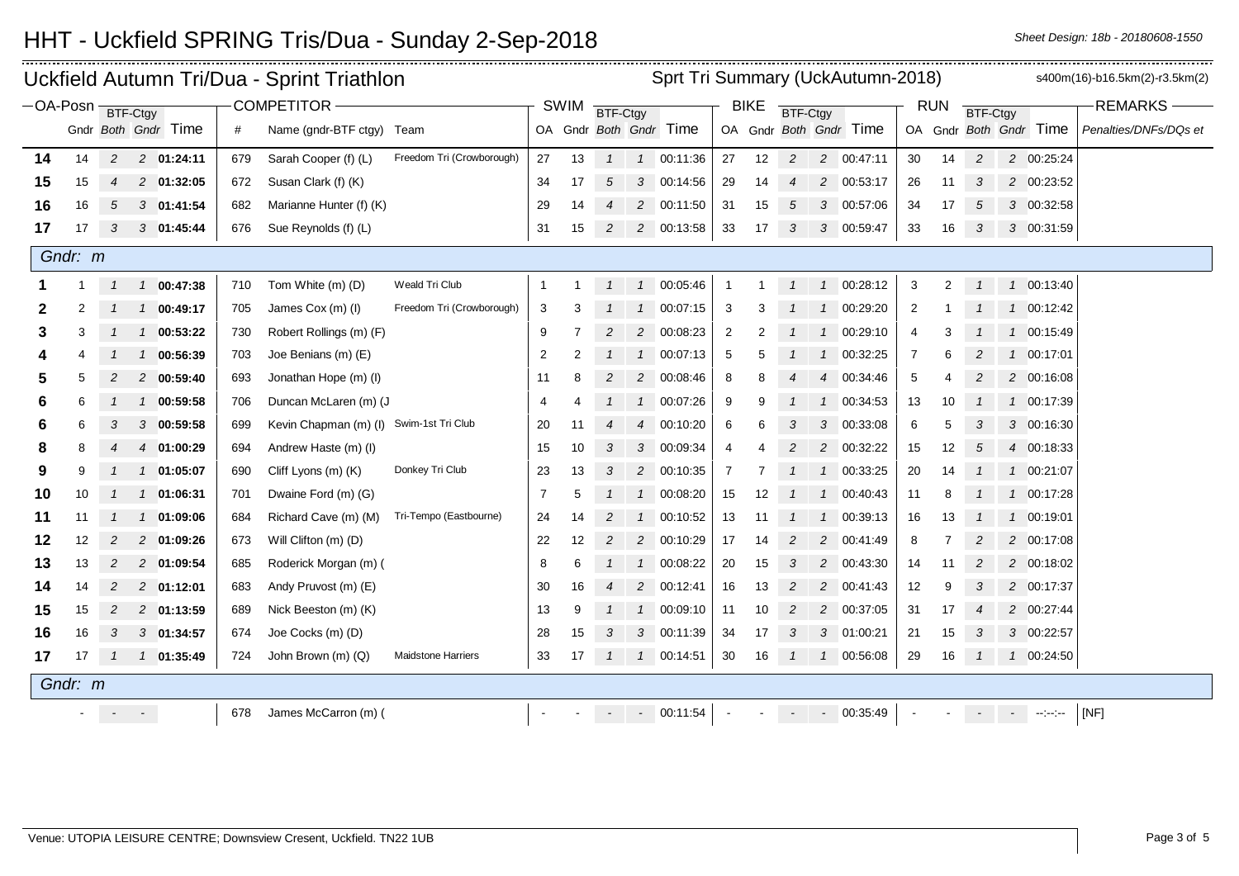|         |                                            |                |                            |     | Uckfield Autumn Tri/Dua - Sprint Triathlon |                           | Sprt Tri Summary (UckAutumn-2018) |          |                          |               |                        |                |                 |                          |                |                        |                |                 |                |  | s400m(16)-b16.5km(2)-r3.5km(2)                                                           |                       |
|---------|--------------------------------------------|----------------|----------------------------|-----|--------------------------------------------|---------------------------|-----------------------------------|----------|--------------------------|---------------|------------------------|----------------|-----------------|--------------------------|----------------|------------------------|----------------|-----------------|----------------|--|------------------------------------------------------------------------------------------|-----------------------|
|         | <b>COMPETITOR -</b><br>$-OA-Posn$ BTF-Ctgy |                |                            |     |                                            |                           | <b>SWIM</b>                       | BTF-Ctgy |                          |               |                        | <b>BIKE</b>    | <b>BTF-Ctgy</b> |                          |                |                        | <b>RUN</b>     | <b>BTF-Ctgy</b> |                |  | <b>REMARKS</b>                                                                           |                       |
|         |                                            |                | Gndr Both Gndr Time        | #   | Name (gndr-BTF ctgy) Team                  |                           |                                   |          |                          |               | OA Gndr Both Gndr Time |                |                 |                          |                | OA Gndr Both Gndr Time |                |                 |                |  | OA Gndr Both Gndr Time                                                                   | Penalties/DNFs/DQs et |
| 14      | 14                                         | $\overline{c}$ | 2 01:24:11                 | 679 | Sarah Cooper (f) (L)                       | Freedom Tri (Crowborough) | 27                                | 13       | $\mathbf{1}$             |               | 1 00:11:36             | 27             | 12              | $\overline{c}$           |                | 2 00:47:11             | 30             | 14              | $\overline{c}$ |  | 2 00:25:24                                                                               |                       |
| 15      | 15                                         |                | 2 01:32:05                 | 672 | Susan Clark (f) (K)                        |                           | 34                                | 17       | 5                        |               | 3 00:14:56             | 29             | 14              | $\overline{\mathcal{A}}$ | 2              | 00:53:17               | 26             | 11              | 3              |  | 2 00:23:52                                                                               |                       |
| 16      | 16                                         | 5              | 3 01:41:54                 | 682 | Marianne Hunter (f) (K)                    |                           | 29                                | 14       |                          |               | 2 00:11:50             | 31             | 15              | 5                        | 3              | 00:57:06               | 34             | 17              | 5              |  | 3 00:32:58                                                                               |                       |
| 17      | 17                                         | 3              | 3 01:45:44                 | 676 | Sue Reynolds (f) (L)                       |                           | 31                                | 15       | $\overline{c}$           |               | 2 00:13:58             | 33             | 17              | 3                        |                | 3 00:59:47             | 33             | 16              | 3              |  | 3 00:31:59                                                                               |                       |
| Gndr: m |                                            |                |                            |     |                                            |                           |                                   |          |                          |               |                        |                |                 |                          |                |                        |                |                 |                |  |                                                                                          |                       |
|         |                                            |                | 1 00:47:38                 | 710 | Tom White (m) (D)                          | Weald Tri Club            | -1                                |          |                          |               | 1 00:05:46             | $\mathbf{1}$   |                 |                          | $\mathcal{I}$  | 00:28:12               | 3              | $\overline{2}$  |                |  | 1 00:13:40                                                                               |                       |
| 2       | 2                                          |                | 00:49:17<br>$\mathcal{I}$  | 705 | James Cox (m) (I)                          | Freedom Tri (Crowborough) | 3                                 | 3        |                          | $\mathbf{1}$  | 00:07:15               | 3              | 3               |                          | $\mathcal{I}$  | 00:29:20               | 2              |                 |                |  | 1 00:12:42                                                                               |                       |
| 3       | 3                                          |                | 00:53:22<br>$\mathcal{I}$  | 730 | Robert Rollings (m) (F)                    |                           | 9                                 |          | 2                        |               | 2 00:08:23             | $\overline{2}$ |                 |                          | $\mathbf{1}$   | 00:29:10               | $\overline{4}$ |                 |                |  | 1 00:15:49                                                                               |                       |
|         |                                            |                | 00:56:39<br>$\mathcal{I}$  | 703 | Joe Benians (m) (E)                        |                           | $\overline{2}$                    | 2        |                          |               | 1 00:07:13             | 5              | 5               |                          | $\mathcal I$   | 00:32:25               | 7              |                 | 2              |  | 1 00:17:01                                                                               |                       |
| 5       |                                            |                | 2 00:59:40                 | 693 | Jonathan Hope (m) (I)                      |                           | 11                                | 8        |                          |               | 2 00:08:46             | 8              | 8               |                          | $\overline{4}$ | 00:34:46               | 5              |                 | 2              |  | 2 00:16:08                                                                               |                       |
| 6       | 6                                          |                | 00:59:58<br>$\mathcal{I}$  | 706 | Duncan McLaren (m) (J                      |                           | 4                                 |          |                          |               | 1 00:07:26             | 9              | 9               |                          | $\mathcal I$   | 00:34:53               | 13             | 10              |                |  | 1 00:17:39                                                                               |                       |
| 6       | 6                                          | 3              | 3 00:59:58                 | 699 | Kevin Chapman (m) (I)                      | Swim-1st Tri Club         | 20                                | 11       |                          |               | 4 00:10:20             | 6              | 6               | 3                        | 3              | 00:33:08               | 6              |                 | 3              |  | 3 00:16:30                                                                               |                       |
| 8       |                                            |                | 01:00:29<br>$\overline{4}$ | 694 | Andrew Haste (m) (I)                       |                           | 15                                | 10       | 3                        |               | 3 00:09:34             | 4              |                 | $\overline{2}$           | $\overline{2}$ | 00:32:22               | 15             | 12              | 5              |  | 4 00:18:33                                                                               |                       |
| 9       | 9                                          |                | 01:05:07<br>$\mathcal{I}$  | 690 | Cliff Lyons (m) (K)                        | Donkey Tri Club           | 23                                | 13       | 3                        |               | 2 00:10:35             | $\overline{7}$ | 7               |                          | $\mathbf{1}$   | 00:33:25               | 20             | 14              | $\mathbf{1}$   |  | 1 00:21:07                                                                               |                       |
| 10      | 10                                         | $\mathcal{I}$  | 1 01:06:31                 | 701 | Dwaine Ford (m) (G)                        |                           | $\overline{7}$                    | 5        |                          |               | 1 00:08:20             | 15             | 12              | $\mathcal I$             | $\overline{1}$ | 00:40:43               | 11             | 8               |                |  | 1 00:17:28                                                                               |                       |
| 11      | 11                                         | $\overline{1}$ | 01:09:06<br>$\mathcal{I}$  | 684 | Richard Cave (m) (M)                       | Tri-Tempo (Eastbourne)    | 24                                | 14       | 2                        | $\mathcal{I}$ | 00:10:52               | 13             | 11              |                          | $\mathcal{I}$  | 00:39:13               | 16             | 13              |                |  | 1 00:19:01                                                                               |                       |
| 12      | 12                                         | 2              | 2 01:09:26                 | 673 | Will Clifton (m) (D)                       |                           | 22                                | 12       | $\overline{c}$           |               | 2 00:10:29             | 17             | 14              | $\overline{c}$           | $\overline{c}$ | 00:41:49               | 8              |                 | 2              |  | 2 00:17:08                                                                               |                       |
| 13      | 13                                         | $\overline{2}$ | 2 01:09:54                 | 685 | Roderick Morgan (m) (                      |                           | 8                                 | 6        |                          |               | 1 00:08:22             | 20             | 15              | 3                        | $\overline{2}$ | 00:43:30               | 14             | 11              | $\overline{c}$ |  | 2 00:18:02                                                                               |                       |
| 14      | 14                                         | 2              | 2 01:12:01                 | 683 | Andy Pruvost (m) (E)                       |                           | 30                                | 16       | $\overline{\mathcal{A}}$ |               | 2 00:12:41             | 16             | 13              | 2                        | $\overline{2}$ | 00:41:43               | 12             | 9               | 3              |  | 2 00:17:37                                                                               |                       |
| 15      | 15                                         | 2              | 2 01:13:59                 | 689 | Nick Beeston (m) (K)                       |                           | 13                                | 9        |                          |               | 1 00:09:10             | 11             | 10              | 2                        | $\overline{2}$ | 00:37:05               | 31             | 17              |                |  | 2 00:27:44                                                                               |                       |
| 16      | 16                                         | 3              | 3 01:34:57                 | 674 | Joe Cocks (m) (D)                          |                           | 28                                | 15       | 3                        |               | 3 00:11:39             | 34             | 17              | 3                        | $\mathcal{S}$  | 01:00:21               | 21             | 15              | 3              |  | 3 00:22:57                                                                               |                       |
| 17      | 17                                         | $\overline{1}$ | 1 01:35:49                 | 724 | John Brown (m) (Q)                         | <b>Maidstone Harriers</b> | 33                                | 17       | $\mathbf{1}$             |               | 1 00:14:51             | 30             | 16              | $\overline{1}$           | $\mathbf{1}$   | 00:56:08               | 29             | 16              | $\mathcal{I}$  |  | 1 00:24:50                                                                               |                       |
|         | Gndr: m                                    |                |                            |     |                                            |                           |                                   |          |                          |               |                        |                |                 |                          |                |                        |                |                 |                |  |                                                                                          |                       |
|         |                                            |                | $\sigma_{\rm{eff}}=0.01$   | 678 | James McCarron (m) (                       |                           |                                   |          |                          |               | $- 00:11:54$           |                |                 |                          |                | $- 00:35:49$           |                |                 |                |  | $\mathcal{L}(\mathcal{A})$ and $\mathcal{L}(\mathcal{A})$ and $\mathcal{L}(\mathcal{A})$ | [NF]                  |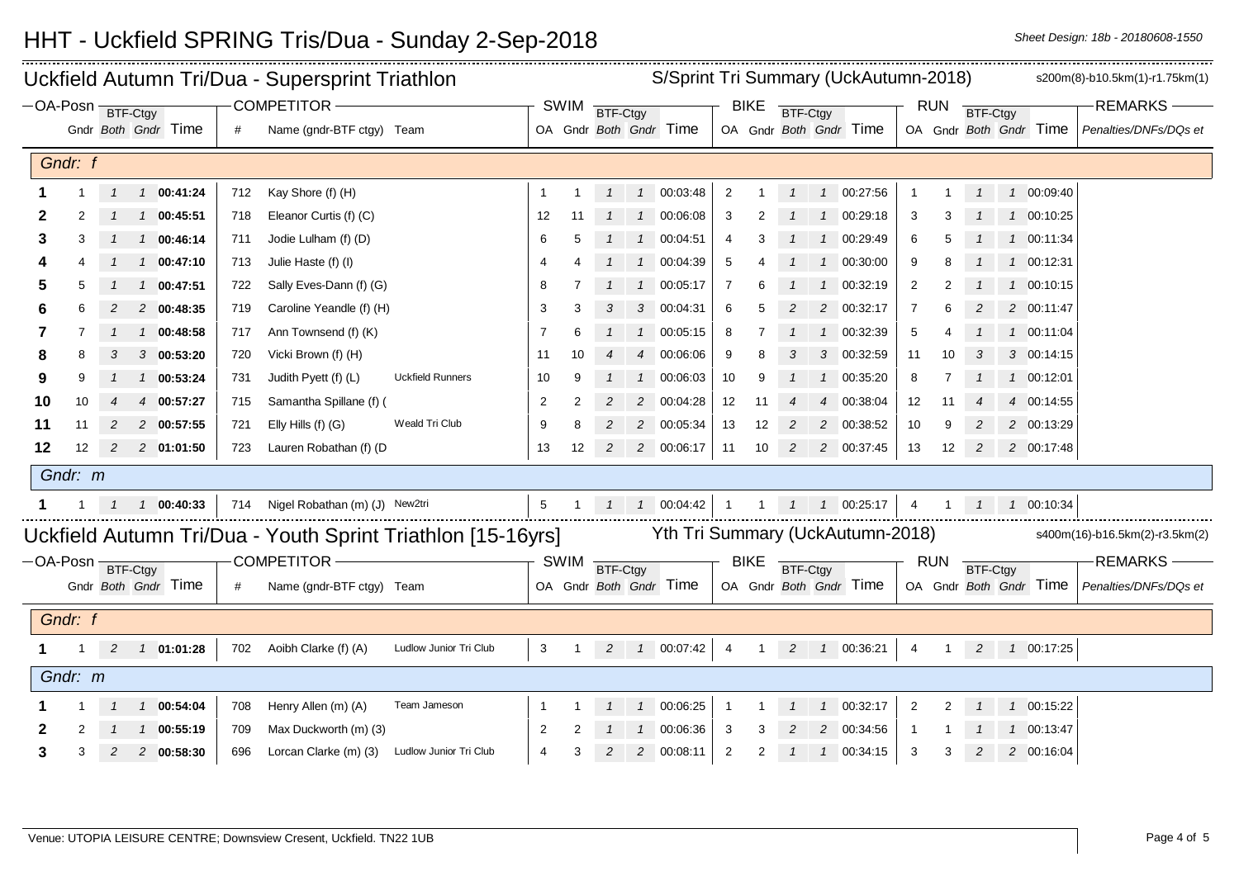|                            | Uckfield Autumn Tri/Dua - Supersprint Triathlon |                |                |                     |     |                                |                                                             |                |                |          |               | S/Sprint Tri Summary (UckAutumn-2018) |                |                |          |                |                                    |                |            |          |  |                        | s200m(8)-b10.5km(1)-r1.75km(1) |
|----------------------------|-------------------------------------------------|----------------|----------------|---------------------|-----|--------------------------------|-------------------------------------------------------------|----------------|----------------|----------|---------------|---------------------------------------|----------------|----------------|----------|----------------|------------------------------------|----------------|------------|----------|--|------------------------|--------------------------------|
| $-OA-Posn$ <b>BTF-Ctgy</b> |                                                 |                |                |                     |     | <b>COMPETITOR</b>              |                                                             |                | <b>SWIM</b>    | BTF-Ctgy |               |                                       |                | <b>BIKE</b>    | BTF-Ctgy |                |                                    |                | RUN        | BTF-Ctgy |  |                        | <b>REMARKS</b>                 |
|                            |                                                 |                |                | Gndr Both Gndr Time | #   | Name (gndr-BTF ctgy) Team      |                                                             |                |                |          |               | OA Gndr Both Gndr Time                |                |                |          |                | OA Gndr Both Gndr Time             |                |            |          |  | OA Gndr Both Gndr Time | Penalties/DNFs/DQs et          |
| Gndr: f                    |                                                 |                |                |                     |     |                                |                                                             |                |                |          |               |                                       |                |                |          |                |                                    |                |            |          |  |                        |                                |
|                            |                                                 |                |                | $1\quad 00:41:24$   | 712 | Kay Shore (f) (H)              |                                                             | $\mathbf 1$    |                |          |               | 1  1  00:03:48                        | $\overline{2}$ |                |          |                | 1 00:27:56                         |                |            |          |  | 1 00:09:40             |                                |
| 2                          |                                                 |                |                | 1 1 00:45:51        | 718 | Eleanor Curtis (f) (C)         |                                                             | 12             | 11             |          |               | 1 1 00:06:08                          | 3              |                |          |                | 1 00:29:18                         | 3              |            |          |  | 1 00:10:25             |                                |
| 3                          |                                                 |                |                | $1 \quad 00:46:14$  | 711 | Jodie Lulham (f) (D)           |                                                             | 6              | 5              |          |               | 1 00:04:51                            | 4              |                |          | $\overline{1}$ | 00:29:49                           | 6              |            |          |  | 1 00:11:34             |                                |
|                            |                                                 |                |                | $1\quad 00:47:10$   | 713 | Julie Haste (f) (I)            |                                                             | 4              |                |          |               | 1  1  00:04:39                        | 5              |                |          | $\overline{1}$ | 00:30:00                           | 9              |            |          |  | 1 00:12:31             |                                |
| b                          |                                                 |                | $\overline{1}$ | 00:47:51            | 722 | Sally Eves-Dann (f) (G)        |                                                             | 8              |                |          |               | 1 00:05:17                            | 7              |                |          | $\mathcal I$   | 00:32:19                           | $\overline{2}$ | 2          |          |  | 1 00:10:15             |                                |
|                            |                                                 |                |                | 2 00:48:35          | 719 | Caroline Yeandle (f) (H)       |                                                             | 3              |                |          |               | 3 00:04:31                            | 6              |                |          | 2              | 00:32:17                           |                |            |          |  | 2 00:11:47             |                                |
|                            |                                                 |                |                | 1 00:48:58          | 717 | Ann Townsend (f) (K)           |                                                             | 7              |                |          |               | 1 00:05:15                            | 8              |                |          | $\mathcal{I}$  | 00:32:39                           | 5              |            |          |  | 1 00:11:04             |                                |
|                            |                                                 |                |                | $3$ 00:53:20        | 720 | Vicki Brown (f) (H)            |                                                             | -11            |                |          |               | 4 00:06:06                            | 9              |                |          | 3              | 00:32:59                           | 11             |            |          |  | 3 00:14:15             |                                |
| 9                          |                                                 |                | $\mathcal{I}$  | 00:53:24            | 731 | Judith Pyett (f) (L)           | <b>Uckfield Runners</b>                                     | 10             | 9              |          | $\mathcal{I}$ | 00:06:03                              | 10             |                |          |                | 00:35:20                           | 8              | 7          |          |  | 1 00:12:01             |                                |
| 10                         | 10                                              |                |                | 4 00:57:27          | 715 | Samantha Spillane (f) (        |                                                             | 2              | $\overline{2}$ |          |               | 2 00:04:28                            | 12             | 11             |          | 4              | 00:38:04                           | 12             | 11         |          |  | 4 00:14:55             |                                |
| 11                         | 11                                              | 2              |                | 2 00:57:55          | 721 | Elly Hills (f) (G)             | Weald Tri Club                                              | 9              | 8              |          |               | 2 00:05:34                            | 13             | 12             | 2        |                | 2 00:38:52                         | 10             | 9          | 2        |  | 2 00:13:29             |                                |
| 12                         | 12                                              | 2              |                | 2 01:01:50          | 723 | Lauren Robathan (f) (D         |                                                             | 13             | 12             | 2        |               | 2 00:06:17                            | 11             | 10             | 2        |                | 2 00:37:45                         | 13             | 12         | 2        |  | 2 00:17:48             |                                |
|                            | Gndr: m                                         |                |                |                     |     |                                |                                                             |                |                |          |               |                                       |                |                |          |                |                                    |                |            |          |  |                        |                                |
|                            |                                                 |                |                | $1\quad 00:40:33$   | 714 | Nigel Robathan (m) (J) New2tri |                                                             | $\overline{5}$ |                |          |               | $1 1 00.04:42$ 1                      |                |                |          |                | $1 \quad 1 \quad 1 \quad 00:25:17$ | $\overline{4}$ |            |          |  | 1  1  1  00:10:34      |                                |
|                            |                                                 |                |                |                     |     |                                | Uckfield Autumn Tri/Dua - Youth Sprint Triathlon [15-16yrs] |                |                |          |               | Yth Tri Summary (UckAutumn-2018)      |                |                |          |                |                                    |                |            |          |  |                        | s400m(16)-b16.5km(2)-r3.5km(2) |
| -OA-Posn BTF-Ctgy          |                                                 |                |                |                     |     | -COMPETITOR-                   |                                                             |                | <b>SWIM</b>    | BTF-Ctgy |               |                                       |                | <b>BIKE</b>    | BTF-Ctgy |                |                                    |                | <b>RUN</b> | BTF-Ctgy |  |                        | <b>REMARKS-</b>                |
|                            |                                                 |                |                | Gndr Both Gndr Time | #   | Name (gndr-BTF ctgy) Team      |                                                             |                |                |          |               | OA Gndr Both Gndr Time                |                |                |          |                | OA Gndr Both Gndr Time             |                |            |          |  | OA Gndr Both Gndr Time | Penalties/DNFs/DQs et          |
|                            | Gndr: f                                         |                |                |                     |     |                                |                                                             |                |                |          |               |                                       |                |                |          |                |                                    |                |            |          |  |                        |                                |
|                            |                                                 | 2              |                | 1 01:01:28          | 702 | Aoibh Clarke (f) (A)           | Ludlow Junior Tri Club                                      | 3              | $\overline{1}$ |          |               | 2 1 00:07:42                          | $\overline{4}$ | $\overline{1}$ |          |                | 2 1 00:36:21                       |                |            |          |  | 4 1 2 1 00:17:25       |                                |
| Gndr: m                    |                                                 |                |                |                     |     |                                |                                                             |                |                |          |               |                                       |                |                |          |                |                                    |                |            |          |  |                        |                                |
|                            |                                                 |                |                | 1 1 00:54:04        | 708 | Henry Allen (m) (A)            | Team Jameson                                                | -1             |                |          |               | 1 00:06:25                            | $\overline{1}$ |                |          |                | 1 00:32:17                         | $\overline{2}$ | 2          |          |  | 1 00:15:22             |                                |
|                            |                                                 |                | $\mathcal{I}$  | 00:55:19            | 709 | Max Duckworth (m) (3)          |                                                             | 2              |                |          |               | 00:06:36                              | 3              |                |          | 2              | 00:34:56                           |                |            |          |  | 1 00:13:47             |                                |
| 3                          | 3                                               | $\overline{c}$ |                | 2 00:58:30          | 696 | Lorcan Clarke (m) (3)          | Ludlow Junior Tri Club                                      | $\overline{4}$ |                |          |               | 2 00:08:11                            | $\overline{2}$ | 2              |          |                | 1 00:34:15                         | 3              | 3          | 2        |  | 2 00:16:04             |                                |